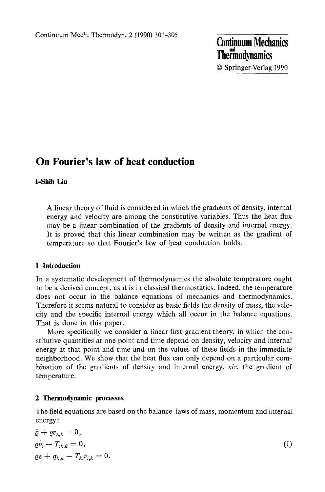**Continuum Mechanics Thermodynamics** 9 Springer-Verlag 1990

# **On Fourier's law of heat conduction**

# **I-Shih Liu**

A linear theory of fluid is considered in which the gradients of density, internal energy and velocity are among the constitutive variables. Thus the heat flux may be a linear combination of the gradients of density and internal energy. It is proved that this linear combination may be written as the gradient of temperature so that Fourier's law of heat conduction holds.

# **1 Introduction**

In a systematic development of thermodynamics the absolute temperature ought to be a derived concept, as it is in classical thermostatics. Indeed, the temperature does not occur in the balance equations of mechanics and thermodynamics. Therefore it seems natural to consider as basic fields the density of mass, the velocity and the specific internal energy which all occur in the balance equations. That is done in this paper.

More specifically we consider a linear first gradient theory, in which the constitutive quantities at one point and time depend on density, velocity and internal energy at that point and time and on the values of these fields in the immediate neighborhood. We show that the heat flux can only depend on a particular combination of the gradients of density and internal energy, *viz.* the gradient of temperature.

### **2 Thermodynamic processes**

The field equations are based on the balance laws of mass, momentum and internal energy:

$$
\dot{\varrho} + \varrho v_{k,k} = 0,\n\dot{\varrho} \dot{v}_i - T_{ik,k} = 0,\n\dot{\varrho} \dot{\varepsilon} + q_{k,k} - T_{ki} v_{i,k} = 0.
$$
\n(1)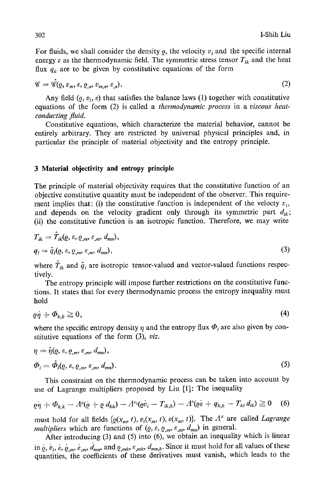For fluids, we shall consider the density  $\rho$ , the velocity  $v_i$  and the specific internal energy  $\varepsilon$  as the thermodynamic field. The symmetric stress tensor  $T_{ik}$  and the heat flux  $q_k$  are to be given by constitutive equations of the form

$$
\mathscr{C} = \mathscr{C}(Q, v_m, \varepsilon, Q_m, v_{m,n}, \varepsilon_n). \tag{2}
$$

Any field  $(0, v_i, \varepsilon)$  that satisfies the balance laws (1) together with constitutive equations of the form (2) is called a *thermodynamic process* in a *viscous heatconducting fluid.* 

Constitutive equations, which characterize the material behavior, cannot be entirely arbitrary. They are restricted by universal physical principles and, in particular the principle of material objectivity and the entropy principle.

#### **3 Material objectivity and entropy principle**

The principle of material objectivity requires that the constitutive function of an objective constitutive quantity must be independent of the observer. This requirement implies that: (i) the constitutive function is independent of the velocty  $v_i$ , and depends on the velocity gradient only through its symmetric part  $d_{ik}$ ; (ii) the constitutive function is an isotropic function. Therefore, we may write

$$
T_{ik} = T_{ik}(Q, \varepsilon, Q_m, \varepsilon_m, d_{mn}),
$$
  
\n
$$
q_i = \hat{q}_i(Q, \varepsilon, Q_m, \varepsilon_m, d_{mn}),
$$
\n(3)

where  $\hat{T}_{ik}$  and  $\hat{q}_i$  are isotropic tensor-valued and vector-valued functions respectively.

The entropy principle will impose further restrictions on the constitutive functions. It states that for every thermodynamic process the entropy inequality must hold

$$
\varrho \dot{\eta} + \varPhi_{k,k} \ge 0,\tag{4}
$$

where the specific entropy density  $\eta$  and the entropy flux  $\Phi_i$  are also given by constitutive equations of the form (3), *viz.* 

$$
\eta = \hat{\eta}(\varrho, \varepsilon, \varrho_{,m}, \varepsilon_{,m}, d_{mn}),
$$
  
\n
$$
\Phi_i = \hat{\Phi}_i(\varrho, \varepsilon, \varrho_{,m}, \varepsilon_{,m}, d_{mn}).
$$
\n(5)

This constraint on the thermodynamic process can be taken into account by use of Lagrange multipliers proposed by Liu [1]: The inequality

$$
\varrho \dot{\eta} + \Phi_{k,k} - A^{\varrho}(\dot{\varrho} + \varrho \, d_{kk}) - A^{\nu_i}(\varrho \dot{\nu}_i - T_{ik,k}) - A^{\varrho}(\varrho \dot{\varepsilon} + q_{k,k} - T_{ki} \, d_{ik}) \geq 0 \quad (6)
$$

must hold for all fields  $\{ \varrho(x_m, t), v_i(x_m, t), \varepsilon(x_m, t) \}$ . The  $A^x$  are called *Lagrange multipliers* which are functions of  $(\varrho, \varepsilon, \varrho_m, \varepsilon_m, d_{mn})$  in general.

After introducing  $(3)$  and  $(5)$  into  $(6)$ , we obtain an inequality which is linear in  $\dot{\varrho}, \dot{v}_i, \dot{\varepsilon}, \dot{\varrho}_{im}, \dot{\varepsilon}_{im}, \dot{d}_{mn}$ , and  $\varrho_{imk}, \varepsilon_{imk}, d_{mn,k}$ . Since it must hold for all values of these quantities, the coefficients of these derivatives must vanish, which leads to the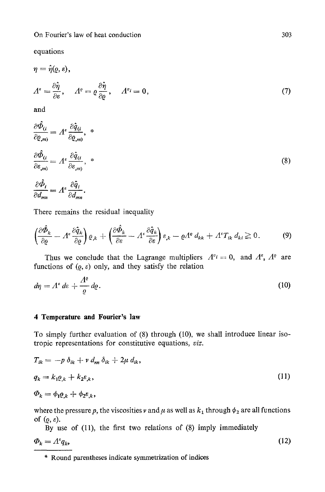equations

$$
\eta = \hat{\eta}(\varrho, \varepsilon),
$$
  
\n
$$
\varLambda^{\varepsilon} = \frac{\partial \hat{\eta}}{\partial \varepsilon}, \quad \varLambda^{\varrho} = \varrho \frac{\partial \hat{\eta}}{\partial \varrho}, \quad \varLambda^{\nu} = 0,
$$
  
\nand (7)

$$
\frac{\partial \hat{\Phi}_{(i)}}{\partial \varrho_{(m)}} = A^{\varepsilon} \frac{\partial \hat{q}_{(i)}}{\partial \varrho_{(m)}}, \ast
$$
\n
$$
\frac{\partial \hat{\Phi}_{(i)}}{\partial \varepsilon_{(m)}} = A^{\varepsilon} \frac{\partial \hat{q}_{(i)}}{\partial \varepsilon_{(m)}}, \ast
$$
\n
$$
\frac{\partial \hat{\Phi}_{i}}{\partial d_{mn}} = A^{\varepsilon} \frac{\partial \hat{q}_{i}}{\partial d_{mn}}.
$$
\n(8)

There remains the residual inequality

$$
\left(\frac{\partial \hat{\Phi}_k}{\partial \varrho} - A^{\varepsilon} \frac{\partial \hat{q}_k}{\partial \varrho}\right) \varrho_{,k} + \left(\frac{\partial \hat{\Phi}_k}{\partial \varepsilon} - A^{\varepsilon} \frac{\partial \hat{q}_k}{\partial \varepsilon}\right) \varepsilon_{,k} - \varrho A^{\varrho} d_{kk} + A^{\varepsilon} T_{ik} d_{ki} \geq 0. \tag{9}
$$

Thus we conclude that the Lagrange multipliers  $A^{\nu_i} = 0$ , and  $A^{\varepsilon}$ ,  $A^{\rho}$  are functions of  $(\varrho, \varepsilon)$  only, and they satisfy the relation

$$
d\eta = \Lambda^e \, de + \frac{\Lambda^e}{\varrho} \, d\varrho. \tag{10}
$$

#### **4 Temperature and Fourier's law**

To simply further evaluation of (8) through (10), we shall introduce linear isotropic representations for constitutive equations, *viz.* 

$$
T_{ik} = -p \, \delta_{ik} + v \, d_{nn} \, \delta_{ik} + 2\mu \, d_{ik},
$$
  
\n
$$
q_k = k_1 \varrho_{,k} + k_2 \varepsilon_{,k},
$$
  
\n
$$
\Phi_k = \phi_1 \varrho_{,k} + \phi_2 \varepsilon_{,k},
$$
\n(11)

where the pressure p, the viscosities v and  $\mu$  as well as  $k_1$  through  $\phi_2$  are all functions of  $(\varrho, \varepsilon)$ .

By use of (11), the first two relations of (8) imply immediately

$$
\Phi_k = \Lambda^s q_k,\tag{12}
$$

\* Round parentheses indicate symmetrization of indices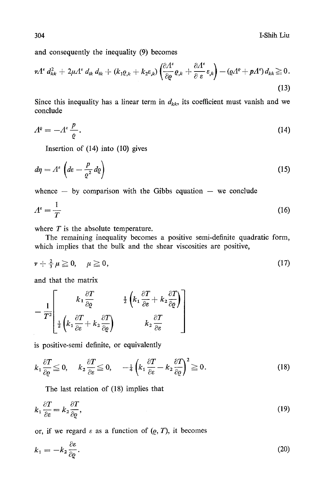and consequently the inequality (9) becomes

$$
\nu A^{\varepsilon} d_{kk}^2 + 2\mu A^{\varepsilon} d_{ik} d_{ik} + (k_1 \varrho_{,k} + k_2 \varepsilon_{,k}) \left( \frac{\partial A^{\varepsilon}}{\partial \varrho} \varrho_{,k} + \frac{\partial A^{\varepsilon}}{\partial \varepsilon} \varepsilon_{,k} \right) - (\varrho A^{\varrho} + p A^{\varepsilon}) d_{kk} \geq 0.
$$
\n(13)

Since this inequality has a linear term in  $d_{kk}$ , its coefficient must vanish and we conclude

$$
A^{\varrho} = -A^{\varepsilon} \frac{p}{\varrho}.
$$
 (14)

Insertion of (14) into (10) gives

$$
d\eta = \Lambda^{\epsilon} \left( d\varepsilon - \frac{p}{\varrho^2} d\varrho \right) \tag{15}
$$

whence  $-$  by comparison with the Gibbs equation  $-$  we conclude

$$
A^{\epsilon} = \frac{1}{T} \tag{16}
$$

where  $T$  is the absolute temperature.

The remaining inequality becomes a positive semi-definite quadratic form, which implies that the bulk and the shear viscosities are positive,

$$
\nu + \frac{2}{3}\mu \geq 0, \quad \mu \geq 0,
$$
\n
$$
(17)
$$

and that the matrix

$$
-\frac{1}{T^{2}}\left[\begin{array}{cc}k_{1}\frac{\partial T}{\partial\varrho}&\frac{1}{2}\left(k_{1}\frac{\partial T}{\partial\epsilon}+k_{2}\frac{\partial T}{\partial\varrho}\right)\\\frac{1}{2}\left(k_{1}\frac{\partial T}{\partial\epsilon}+k_{2}\frac{\partial T}{\partial\varrho}\right)&k_{2}\frac{\partial T}{\partial\epsilon}\end{array}\right]
$$

is positive-semi definite, or equivalently

$$
k_1 \frac{\partial T}{\partial \varrho} \leq 0, \quad k_2 \frac{\partial T}{\partial \varepsilon} \leq 0, \quad -\frac{1}{4} \left( k_1 \frac{\partial T}{\partial \varepsilon} - k_2 \frac{\partial T}{\partial \varrho} \right)^2 \geq 0. \tag{18}
$$

The last relation of (18) implies that

$$
k_1 \frac{\partial T}{\partial \varepsilon} = k_2 \frac{\partial T}{\partial \varrho},\tag{19}
$$

or, if we regard  $\varepsilon$  as a function of  $(Q, T)$ , it becomes

$$
k_1 = -k_2 \frac{\partial \varepsilon}{\partial \varrho}.
$$
\n<sup>(20)</sup>